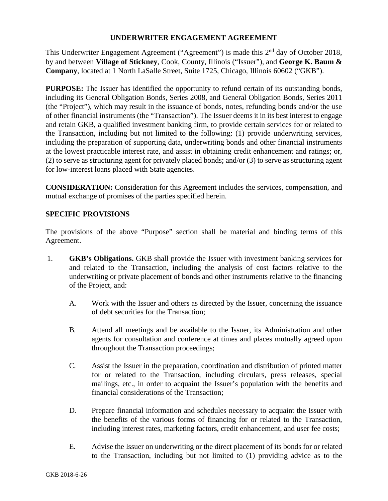#### **UNDERWRITER ENGAGEMENT AGREEMENT**

This Underwriter Engagement Agreement ("Agreement") is made this 2<sup>nd</sup> day of October 2018, by and between **Village of Stickney**, Cook, County, Illinois ("Issuer"), and **George K. Baum & Company**, located at 1 North LaSalle Street, Suite 1725, Chicago, Illinois 60602 ("GKB").

**PURPOSE:** The Issuer has identified the opportunity to refund certain of its outstanding bonds, including its General Obligation Bonds, Series 2008, and General Obligation Bonds, Series 2011 (the "Project"), which may result in the issuance of bonds, notes, refunding bonds and/or the use of other financial instruments (the "Transaction"). The Issuer deems it in its best interest to engage and retain GKB, a qualified investment banking firm, to provide certain services for or related to the Transaction, including but not limited to the following: (1) provide underwriting services, including the preparation of supporting data, underwriting bonds and other financial instruments at the lowest practicable interest rate, and assist in obtaining credit enhancement and ratings; or, (2) to serve as structuring agent for privately placed bonds; and/or (3) to serve as structuring agent for low-interest loans placed with State agencies.

**CONSIDERATION:** Consideration for this Agreement includes the services, compensation, and mutual exchange of promises of the parties specified herein.

### **SPECIFIC PROVISIONS**

The provisions of the above "Purpose" section shall be material and binding terms of this Agreement.

- 1. **GKB's Obligations.** GKB shall provide the Issuer with investment banking services for and related to the Transaction, including the analysis of cost factors relative to the underwriting or private placement of bonds and other instruments relative to the financing of the Project, and:
	- A. Work with the Issuer and others as directed by the Issuer, concerning the issuance of debt securities for the Transaction;
	- B. Attend all meetings and be available to the Issuer, its Administration and other agents for consultation and conference at times and places mutually agreed upon throughout the Transaction proceedings;
	- C. Assist the Issuer in the preparation, coordination and distribution of printed matter for or related to the Transaction, including circulars, press releases, special mailings, etc., in order to acquaint the Issuer's population with the benefits and financial considerations of the Transaction;
	- D. Prepare financial information and schedules necessary to acquaint the Issuer with the benefits of the various forms of financing for or related to the Transaction, including interest rates, marketing factors, credit enhancement, and user fee costs;
	- E. Advise the Issuer on underwriting or the direct placement of its bonds for or related to the Transaction, including but not limited to (1) providing advice as to the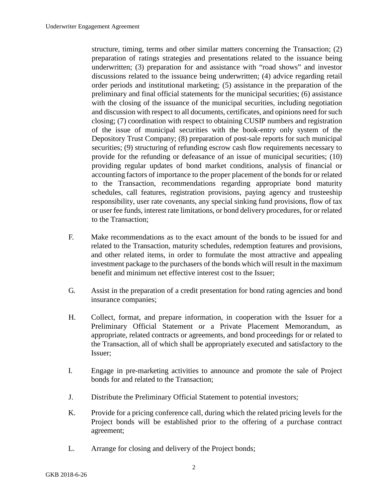structure, timing, terms and other similar matters concerning the Transaction; (2) preparation of ratings strategies and presentations related to the issuance being underwritten; (3) preparation for and assistance with "road shows" and investor discussions related to the issuance being underwritten; (4) advice regarding retail order periods and institutional marketing; (5) assistance in the preparation of the preliminary and final official statements for the municipal securities; (6) assistance with the closing of the issuance of the municipal securities, including negotiation and discussion with respect to all documents, certificates, and opinions need for such closing; (7) coordination with respect to obtaining CUSIP numbers and registration of the issue of municipal securities with the book-entry only system of the Depository Trust Company; (8) preparation of post-sale reports for such municipal securities; (9) structuring of refunding escrow cash flow requirements necessary to provide for the refunding or defeasance of an issue of municipal securities; (10) providing regular updates of bond market conditions, analysis of financial or accounting factors of importance to the proper placement of the bonds for or related to the Transaction, recommendations regarding appropriate bond maturity schedules, call features, registration provisions, paying agency and trusteeship responsibility, user rate covenants, any special sinking fund provisions, flow of tax or user fee funds, interest rate limitations, or bond delivery procedures, for or related to the Transaction;

- F. Make recommendations as to the exact amount of the bonds to be issued for and related to the Transaction, maturity schedules, redemption features and provisions, and other related items, in order to formulate the most attractive and appealing investment package to the purchasers of the bonds which will result in the maximum benefit and minimum net effective interest cost to the Issuer;
- G. Assist in the preparation of a credit presentation for bond rating agencies and bond insurance companies;
- H. Collect, format, and prepare information, in cooperation with the Issuer for a Preliminary Official Statement or a Private Placement Memorandum, as appropriate, related contracts or agreements, and bond proceedings for or related to the Transaction, all of which shall be appropriately executed and satisfactory to the Issuer;
- I. Engage in pre-marketing activities to announce and promote the sale of Project bonds for and related to the Transaction;
- J. Distribute the Preliminary Official Statement to potential investors;
- K. Provide for a pricing conference call, during which the related pricing levels for the Project bonds will be established prior to the offering of a purchase contract agreement;
- L. Arrange for closing and delivery of the Project bonds;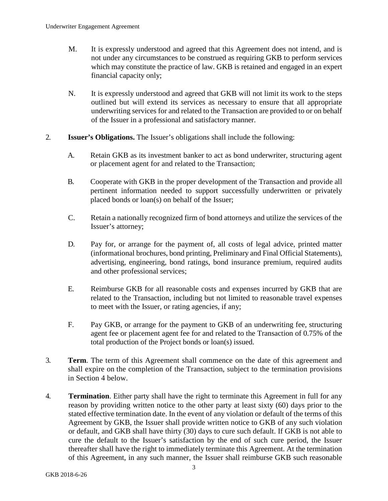- M. It is expressly understood and agreed that this Agreement does not intend, and is not under any circumstances to be construed as requiring GKB to perform services which may constitute the practice of law. GKB is retained and engaged in an expert financial capacity only;
- N. It is expressly understood and agreed that GKB will not limit its work to the steps outlined but will extend its services as necessary to ensure that all appropriate underwriting services for and related to the Transaction are provided to or on behalf of the Issuer in a professional and satisfactory manner.
- 2. **Issuer's Obligations.** The Issuer's obligations shall include the following:
	- A. Retain GKB as its investment banker to act as bond underwriter, structuring agent or placement agent for and related to the Transaction;
	- B. Cooperate with GKB in the proper development of the Transaction and provide all pertinent information needed to support successfully underwritten or privately placed bonds or loan(s) on behalf of the Issuer;
	- C. Retain a nationally recognized firm of bond attorneys and utilize the services of the Issuer's attorney;
	- D. Pay for, or arrange for the payment of, all costs of legal advice, printed matter (informational brochures, bond printing, Preliminary and Final Official Statements), advertising, engineering, bond ratings, bond insurance premium, required audits and other professional services;
	- E. Reimburse GKB for all reasonable costs and expenses incurred by GKB that are related to the Transaction, including but not limited to reasonable travel expenses to meet with the Issuer, or rating agencies, if any;
	- F. Pay GKB, or arrange for the payment to GKB of an underwriting fee, structuring agent fee or placement agent fee for and related to the Transaction of 0.75% of the total production of the Project bonds or loan(s) issued.
- 3. **Term**. The term of this Agreement shall commence on the date of this agreement and shall expire on the completion of the Transaction, subject to the termination provisions in Section 4 below.
- 4. **Termination**. Either party shall have the right to terminate this Agreement in full for any reason by providing written notice to the other party at least sixty (60) days prior to the stated effective termination date. In the event of any violation or default of the terms of this Agreement by GKB, the Issuer shall provide written notice to GKB of any such violation or default, and GKB shall have thirty (30) days to cure such default. If GKB is not able to cure the default to the Issuer's satisfaction by the end of such cure period, the Issuer thereafter shall have the right to immediately terminate this Agreement. At the termination of this Agreement, in any such manner, the Issuer shall reimburse GKB such reasonable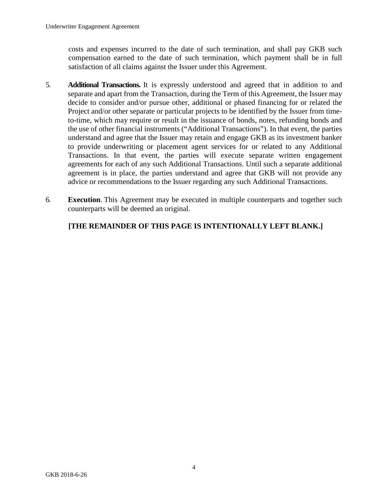costs and expenses incurred to the date of such termination, and shall pay GKB such compensation earned to the date of such termination, which payment shall be in full satisfaction of all claims against the Issuer under this Agreement.

- 5. **Additional Transactions.** It is expressly understood and agreed that in addition to and separate and apart from the Transaction, during the Term of this Agreement, the Issuer may decide to consider and/or pursue other, additional or phased financing for or related the Project and/or other separate or particular projects to be identified by the Issuer from timeto-time, which may require or result in the issuance of bonds, notes, refunding bonds and the use of other financial instruments ("Additional Transactions"). In that event, the parties understand and agree that the Issuer may retain and engage GKB as its investment banker to provide underwriting or placement agent services for or related to any Additional Transactions. In that event, the parties will execute separate written engagement agreements for each of any such Additional Transactions. Until such a separate additional agreement is in place, the parties understand and agree that GKB will not provide any advice or recommendations to the Issuer regarding any such Additional Transactions.
- 6. **Execution**. This Agreement may be executed in multiple counterparts and together such counterparts will be deemed an original.

# **[THE REMAINDER OF THIS PAGE IS INTENTIONALLY LEFT BLANK.]**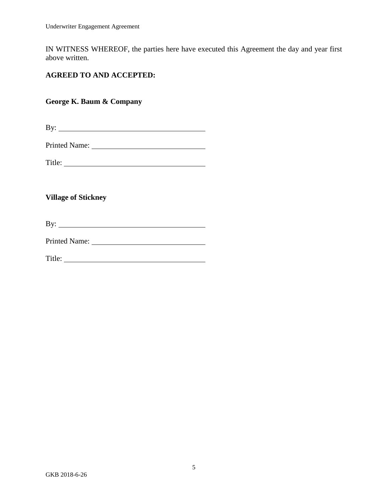IN WITNESS WHEREOF, the parties here have executed this Agreement the day and year first above written.

# **AGREED TO AND ACCEPTED:**

# **George K. Baum & Company**

By:

Title:

### **Village of Stickney**

By: <u>second</u>

Printed Name: University of the University of the University of the University of the University of the University of the University of the University of the University of the University of the University of the University

Title: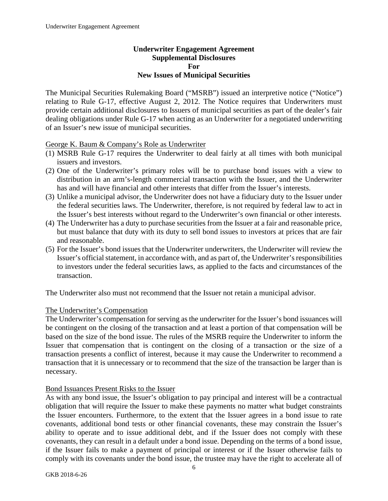### **Underwriter Engagement Agreement Supplemental Disclosures For New Issues of Municipal Securities**

The Municipal Securities Rulemaking Board ("MSRB") issued an interpretive notice ("Notice") relating to Rule G-17, effective August 2, 2012. The Notice requires that Underwriters must provide certain additional disclosures to Issuers of municipal securities as part of the dealer's fair dealing obligations under Rule G-17 when acting as an Underwriter for a negotiated underwriting of an Issuer's new issue of municipal securities.

#### George K. Baum & Company's Role as Underwriter

- (1) MSRB Rule G-17 requires the Underwriter to deal fairly at all times with both municipal issuers and investors.
- (2) One of the Underwriter's primary roles will be to purchase bond issues with a view to distribution in an arm's-length commercial transaction with the Issuer, and the Underwriter has and will have financial and other interests that differ from the Issuer's interests.
- (3) Unlike a municipal advisor, the Underwriter does not have a fiduciary duty to the Issuer under the federal securities laws. The Underwriter, therefore, is not required by federal law to act in the Issuer's best interests without regard to the Underwriter's own financial or other interests.
- (4) The Underwriter has a duty to purchase securities from the Issuer at a fair and reasonable price, but must balance that duty with its duty to sell bond issues to investors at prices that are fair and reasonable.
- (5) For the Issuer's bond issues that the Underwriter underwriters, the Underwriter will review the Issuer's official statement, in accordance with, and as part of, the Underwriter's responsibilities to investors under the federal securities laws, as applied to the facts and circumstances of the transaction.

The Underwriter also must not recommend that the Issuer not retain a municipal advisor.

#### The Underwriter's Compensation

The Underwriter's compensation for serving as the underwriter for the Issuer's bond issuances will be contingent on the closing of the transaction and at least a portion of that compensation will be based on the size of the bond issue. The rules of the MSRB require the Underwriter to inform the Issuer that compensation that is contingent on the closing of a transaction or the size of a transaction presents a conflict of interest, because it may cause the Underwriter to recommend a transaction that it is unnecessary or to recommend that the size of the transaction be larger than is necessary.

#### Bond Issuances Present Risks to the Issuer

As with any bond issue, the Issuer's obligation to pay principal and interest will be a contractual obligation that will require the Issuer to make these payments no matter what budget constraints the Issuer encounters. Furthermore, to the extent that the Issuer agrees in a bond issue to rate covenants, additional bond tests or other financial covenants, these may constrain the Issuer's ability to operate and to issue additional debt, and if the Issuer does not comply with these covenants, they can result in a default under a bond issue. Depending on the terms of a bond issue, if the Issuer fails to make a payment of principal or interest or if the Issuer otherwise fails to comply with its covenants under the bond issue, the trustee may have the right to accelerate all of